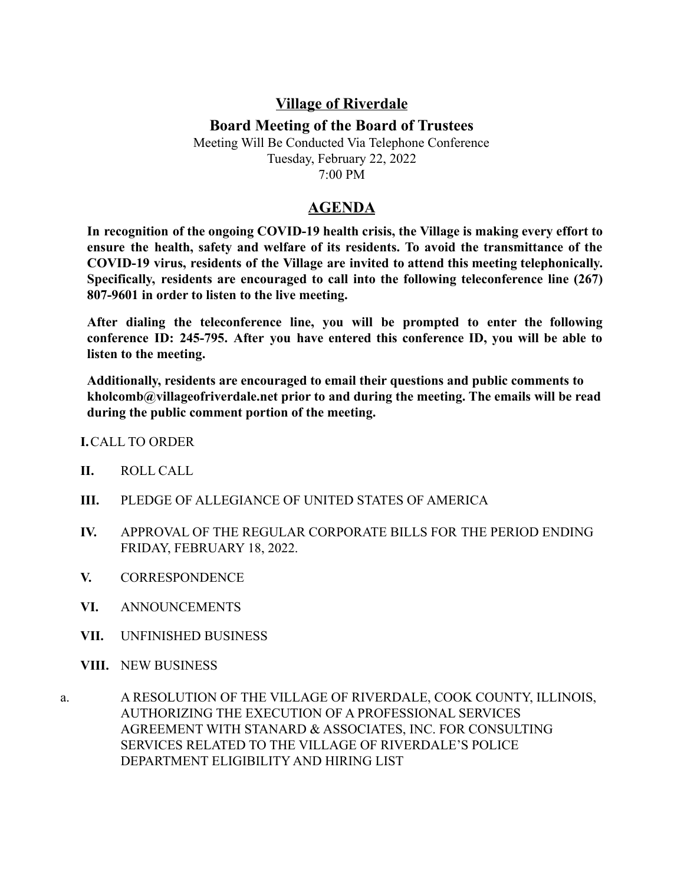## **Village of Riverdale**

## **Board Meeting of the Board of Trustees**

Meeting Will Be Conducted Via Telephone Conference Tuesday, February 22, 2022 7:00 PM

## **AGENDA**

**In recognition of the ongoing COVID-19 health crisis, the Village is making every effort to ensure the health, safety and welfare of its residents. To avoid the transmittance of the COVID-19 virus, residents of the Village are invited to attend this meeting telephonically. Specifically, residents are encouraged to call into the following teleconference line (267) 807-9601 in order to listen to the live meeting.**

**After dialing the teleconference line, you will be prompted to enter the following conference ID: 245-795. After you have entered this conference ID, you will be able to listen to the meeting.**

**Additionally, residents are encouraged to email their questions and public comments to kholcomb@villageofriverdale.net prior to and during the meeting. The emails will be read during the public comment portion of the meeting.**

**I.**CALL TO ORDER

- **II.** ROLL CALL
- **III.** PLEDGE OF ALLEGIANCE OF UNITED STATES OF AMERICA
- **IV.** APPROVAL OF THE REGULAR CORPORATE BILLS FOR THE PERIOD ENDING FRIDAY, FEBRUARY 18, 2022.
- **V.** CORRESPONDENCE
- **VI.** ANNOUNCEMENTS
- **VII.** UNFINISHED BUSINESS
- **VIII.** NEW BUSINESS
- a. A RESOLUTION OF THE VILLAGE OF RIVERDALE, COOK COUNTY, ILLINOIS, AUTHORIZING THE EXECUTION OF A PROFESSIONAL SERVICES AGREEMENT WITH STANARD & ASSOCIATES, INC. FOR CONSULTING SERVICES RELATED TO THE VILLAGE OF RIVERDALE'S POLICE DEPARTMENT ELIGIBILITY AND HIRING LIST